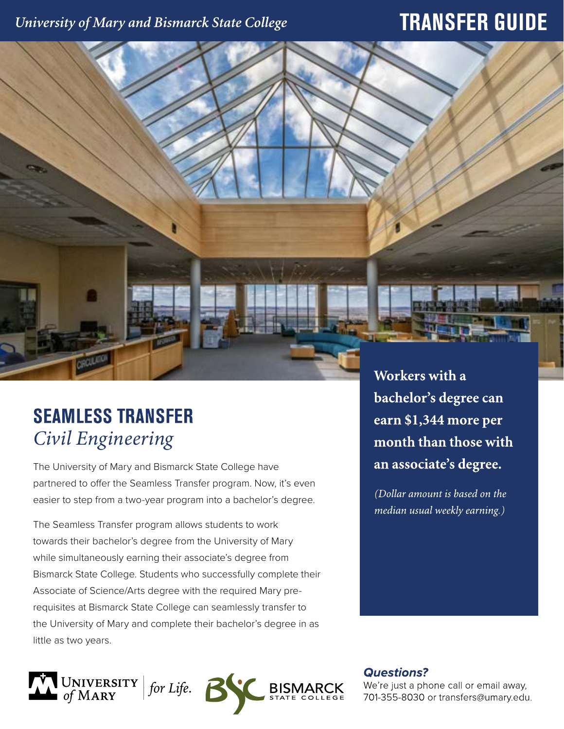### University of Mary and Bismarck State College

# **TRANSFER GUIDE**

# **SEAMLESS TRANSFER** *Civil Engineering*

The University of Mary and Bismarck State College have partnered to offer the Seamless Transfer program. Now, it's even easier to step from a two-year program into a bachelor's degree.

The Seamless Transfer program allows students to work towards their bachelor's degree from the University of Mary while simultaneously earning their associate's degree from Bismarck State College. Students who successfully complete their Associate of Science/Arts degree with the required Mary prerequisites at Bismarck State College can seamlessly transfer to the University of Mary and complete their bachelor's degree in as little as two years.



Workers with a bachelor's degree can earn \$1,344 more per month than those with an associate's degree.

(Dollar amount is based on the median usual weekly earning.)

**Questions?** 

We're just a phone call or email away, 701-355-8030 or transfers@umary.edu.